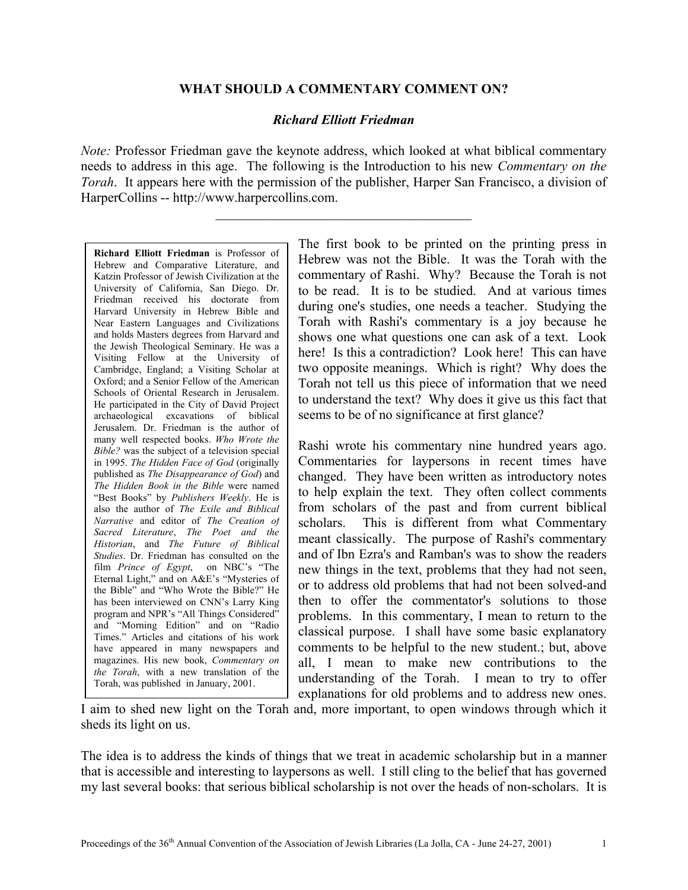## **WHAT SHOULD A COMMENTARY COMMENT ON?**

## *Richard Elliott Friedman*

*Note:* Professor Friedman gave the keynote address, which looked at what biblical commentary needs to address in this age. The following is the Introduction to his new *Commentary on the Torah*. It appears here with the permission of the publisher, Harper San Francisco, a division of HarperCollins -- http://www.harpercollins.com.

 $\mathcal{L}_\text{max}$  and  $\mathcal{L}_\text{max}$  and  $\mathcal{L}_\text{max}$  and  $\mathcal{L}_\text{max}$ 

**Richard Elliott Friedman** is Professor of Hebrew and Comparative Literature, and Katzin Professor of Jewish Civilization at the University of California, San Diego. Dr. Friedman received his doctorate from Harvard University in Hebrew Bible and Near Eastern Languages and Civilizations and holds Masters degrees from Harvard and the Jewish Theological Seminary. He was a Visiting Fellow at the University of Cambridge, England; a Visiting Scholar at Oxford; and a Senior Fellow of the American Schools of Oriental Research in Jerusalem. He participated in the City of David Project archaeological excavations of biblical Jerusalem. Dr. Friedman is the author of many well respected books. *Who Wrote the Bible?* was the subject of a television special in 1995. *The Hidden Face of God* (originally published as *The Disappearance of God*) and *The Hidden Book in the Bible* were named "Best Books" by *Publishers Weekly*. He is also the author of *The Exile and Biblical Narrative* and editor of *The Creation of Sacred Literature*, *The Poet and the Historian*, and *The Future of Biblical Studies*. Dr. Friedman has consulted on the film *Prince of Egypt*, on NBC's "The Eternal Light," and on A&E's "Mysteries of the Bible" and "Who Wrote the Bible?" He has been interviewed on CNN's Larry King program and NPR's "All Things Considered" and "Morning Edition" and on "Radio Times." Articles and citations of his work have appeared in many newspapers and magazines. His new book, *Commentary on the Torah*, with a new translation of the Torah, was published in January, 2001.

The first book to be printed on the printing press in Hebrew was not the Bible. It was the Torah with the commentary of Rashi. Why? Because the Torah is not to be read. It is to be studied. And at various times during one's studies, one needs a teacher. Studying the Torah with Rashi's commentary is a joy because he shows one what questions one can ask of a text. Look here! Is this a contradiction? Look here! This can have two opposite meanings. Which is right? Why does the Torah not tell us this piece of information that we need to understand the text? Why does it give us this fact that seems to be of no significance at first glance?

Rashi wrote his commentary nine hundred years ago. Commentaries for laypersons in recent times have changed. They have been written as introductory notes to help explain the text. They often collect comments from scholars of the past and from current biblical scholars. This is different from what Commentary meant classically. The purpose of Rashi's commentary and of Ibn Ezra's and Ramban's was to show the readers new things in the text, problems that they had not seen, or to address old problems that had not been solved-and then to offer the commentator's solutions to those problems. In this commentary, I mean to return to the classical purpose. I shall have some basic explanatory comments to be helpful to the new student.; but, above all, I mean to make new contributions to the understanding of the Torah. I mean to try to offer explanations for old problems and to address new ones.

I aim to shed new light on the Torah and, more important, to open windows through which it sheds its light on us.

The idea is to address the kinds of things that we treat in academic scholarship but in a manner that is accessible and interesting to laypersons as well. I still cling to the belief that has governed my last several books: that serious biblical scholarship is not over the heads of non-scholars. It is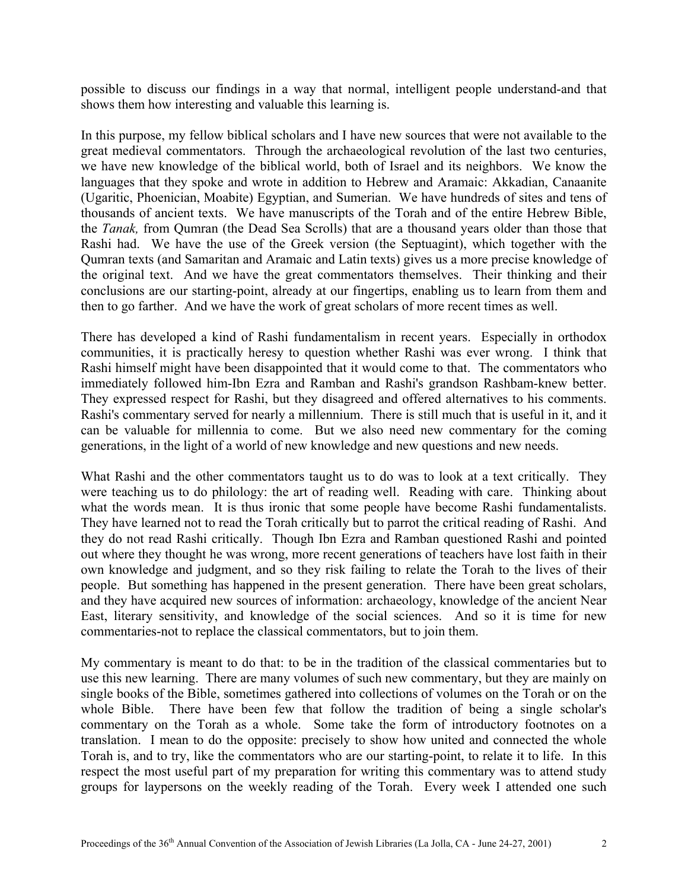possible to discuss our findings in a way that normal, intelligent people understand-and that shows them how interesting and valuable this learning is.

In this purpose, my fellow biblical scholars and I have new sources that were not available to the great medieval commentators. Through the archaeological revolution of the last two centuries, we have new knowledge of the biblical world, both of Israel and its neighbors. We know the languages that they spoke and wrote in addition to Hebrew and Aramaic: Akkadian, Canaanite (Ugaritic, Phoenician, Moabite) Egyptian, and Sumerian. We have hundreds of sites and tens of thousands of ancient texts. We have manuscripts of the Torah and of the entire Hebrew Bible, the *Tanak,* from Qumran (the Dead Sea Scrolls) that are a thousand years older than those that Rashi had. We have the use of the Greek version (the Septuagint), which together with the Qumran texts (and Samaritan and Aramaic and Latin texts) gives us a more precise knowledge of the original text. And we have the great commentators themselves. Their thinking and their conclusions are our starting-point, already at our fingertips, enabling us to learn from them and then to go farther. And we have the work of great scholars of more recent times as well.

There has developed a kind of Rashi fundamentalism in recent years. Especially in orthodox communities, it is practically heresy to question whether Rashi was ever wrong. I think that Rashi himself might have been disappointed that it would come to that. The commentators who immediately followed him-Ibn Ezra and Ramban and Rashi's grandson Rashbam-knew better. They expressed respect for Rashi, but they disagreed and offered alternatives to his comments. Rashi's commentary served for nearly a millennium. There is still much that is useful in it, and it can be valuable for millennia to come. But we also need new commentary for the coming generations, in the light of a world of new knowledge and new questions and new needs.

What Rashi and the other commentators taught us to do was to look at a text critically. They were teaching us to do philology: the art of reading well. Reading with care. Thinking about what the words mean. It is thus ironic that some people have become Rashi fundamentalists. They have learned not to read the Torah critically but to parrot the critical reading of Rashi. And they do not read Rashi critically. Though Ibn Ezra and Ramban questioned Rashi and pointed out where they thought he was wrong, more recent generations of teachers have lost faith in their own knowledge and judgment, and so they risk failing to relate the Torah to the lives of their people. But something has happened in the present generation. There have been great scholars, and they have acquired new sources of information: archaeology, knowledge of the ancient Near East, literary sensitivity, and knowledge of the social sciences. And so it is time for new commentaries-not to replace the classical commentators, but to join them.

My commentary is meant to do that: to be in the tradition of the classical commentaries but to use this new learning. There are many volumes of such new commentary, but they are mainly on single books of the Bible, sometimes gathered into collections of volumes on the Torah or on the whole Bible. There have been few that follow the tradition of being a single scholar's commentary on the Torah as a whole. Some take the form of introductory footnotes on a translation. I mean to do the opposite: precisely to show how united and connected the whole Torah is, and to try, like the commentators who are our starting-point, to relate it to life. In this respect the most useful part of my preparation for writing this commentary was to attend study groups for laypersons on the weekly reading of the Torah. Every week I attended one such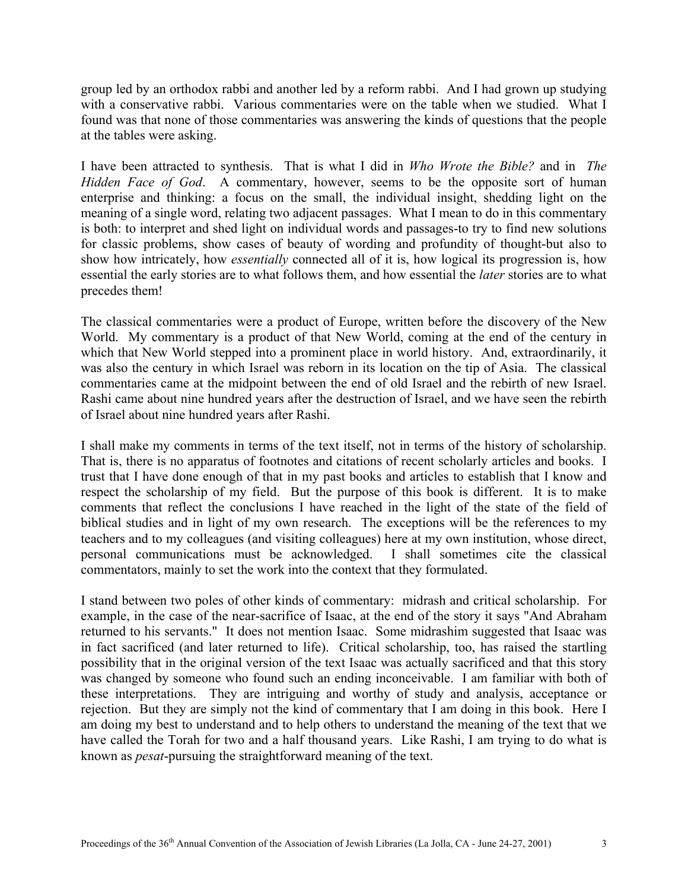group led by an orthodox rabbi and another led by a reform rabbi. And I had grown up studying with a conservative rabbi. Various commentaries were on the table when we studied. What I found was that none of those commentaries was answering the kinds of questions that the people at the tables were asking.

I have been attracted to synthesis. That is what I did in *Who Wrote the Bible?* and in *The Hidden Face of God*. A commentary, however, seems to be the opposite sort of human enterprise and thinking: a focus on the small, the individual insight, shedding light on the meaning of a single word, relating two adjacent passages. What I mean to do in this commentary is both: to interpret and shed light on individual words and passages-to try to find new solutions for classic problems, show cases of beauty of wording and profundity of thought-but also to show how intricately, how *essentially* connected all of it is, how logical its progression is, how essential the early stories are to what follows them, and how essential the *later* stories are to what precedes them!

The classical commentaries were a product of Europe, written before the discovery of the New World. My commentary is a product of that New World, coming at the end of the century in which that New World stepped into a prominent place in world history. And, extraordinarily, it was also the century in which Israel was reborn in its location on the tip of Asia. The classical commentaries came at the midpoint between the end of old Israel and the rebirth of new Israel. Rashi came about nine hundred years after the destruction of Israel, and we have seen the rebirth of Israel about nine hundred years after Rashi.

I shall make my comments in terms of the text itself, not in terms of the history of scholarship. That is, there is no apparatus of footnotes and citations of recent scholarly articles and books. I trust that I have done enough of that in my past books and articles to establish that I know and respect the scholarship of my field. But the purpose of this book is different. It is to make comments that reflect the conclusions I have reached in the light of the state of the field of biblical studies and in light of my own research. The exceptions will be the references to my teachers and to my colleagues (and visiting colleagues) here at my own institution, whose direct, personal communications must be acknowledged. I shall sometimes cite the classical commentators, mainly to set the work into the context that they formulated.

I stand between two poles of other kinds of commentary: midrash and critical scholarship. For example, in the case of the near-sacrifice of Isaac, at the end of the story it says "And Abraham returned to his servants." It does not mention Isaac. Some midrashim suggested that Isaac was in fact sacrificed (and later returned to life). Critical scholarship, too, has raised the startling possibility that in the original version of the text Isaac was actually sacrificed and that this story was changed by someone who found such an ending inconceivable. I am familiar with both of these interpretations. They are intriguing and worthy of study and analysis, acceptance or rejection. But they are simply not the kind of commentary that I am doing in this book. Here I am doing my best to understand and to help others to understand the meaning of the text that we have called the Torah for two and a half thousand years. Like Rashi, I am trying to do what is known as *pesat*-pursuing the straightforward meaning of the text.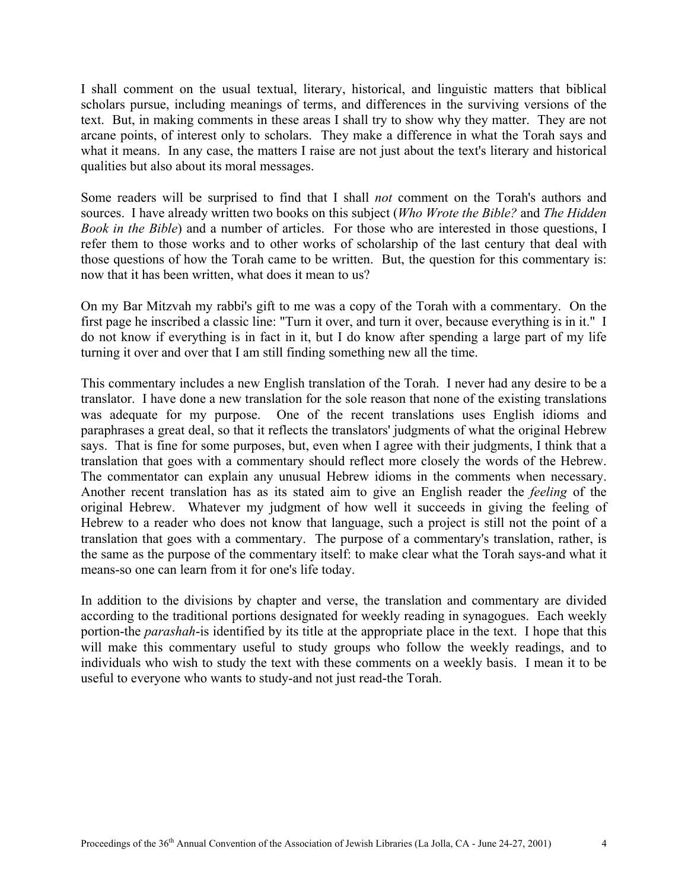I shall comment on the usual textual, literary, historical, and linguistic matters that biblical scholars pursue, including meanings of terms, and differences in the surviving versions of the text. But, in making comments in these areas I shall try to show why they matter. They are not arcane points, of interest only to scholars. They make a difference in what the Torah says and what it means. In any case, the matters I raise are not just about the text's literary and historical qualities but also about its moral messages.

Some readers will be surprised to find that I shall *not* comment on the Torah's authors and sources. I have already written two books on this subject (*Who Wrote the Bible?* and *The Hidden Book in the Bible*) and a number of articles. For those who are interested in those questions, I refer them to those works and to other works of scholarship of the last century that deal with those questions of how the Torah came to be written. But, the question for this commentary is: now that it has been written, what does it mean to us?

On my Bar Mitzvah my rabbi's gift to me was a copy of the Torah with a commentary. On the first page he inscribed a classic line: "Turn it over, and turn it over, because everything is in it." I do not know if everything is in fact in it, but I do know after spending a large part of my life turning it over and over that I am still finding something new all the time.

This commentary includes a new English translation of the Torah. I never had any desire to be a translator. I have done a new translation for the sole reason that none of the existing translations was adequate for my purpose. One of the recent translations uses English idioms and paraphrases a great deal, so that it reflects the translators' judgments of what the original Hebrew says. That is fine for some purposes, but, even when I agree with their judgments, I think that a translation that goes with a commentary should reflect more closely the words of the Hebrew. The commentator can explain any unusual Hebrew idioms in the comments when necessary. Another recent translation has as its stated aim to give an English reader the *feeling* of the original Hebrew. Whatever my judgment of how well it succeeds in giving the feeling of Hebrew to a reader who does not know that language, such a project is still not the point of a translation that goes with a commentary. The purpose of a commentary's translation, rather, is the same as the purpose of the commentary itself: to make clear what the Torah says-and what it means-so one can learn from it for one's life today.

In addition to the divisions by chapter and verse, the translation and commentary are divided according to the traditional portions designated for weekly reading in synagogues. Each weekly portion-the *parashah*-is identified by its title at the appropriate place in the text. I hope that this will make this commentary useful to study groups who follow the weekly readings, and to individuals who wish to study the text with these comments on a weekly basis. I mean it to be useful to everyone who wants to study-and not just read-the Torah.